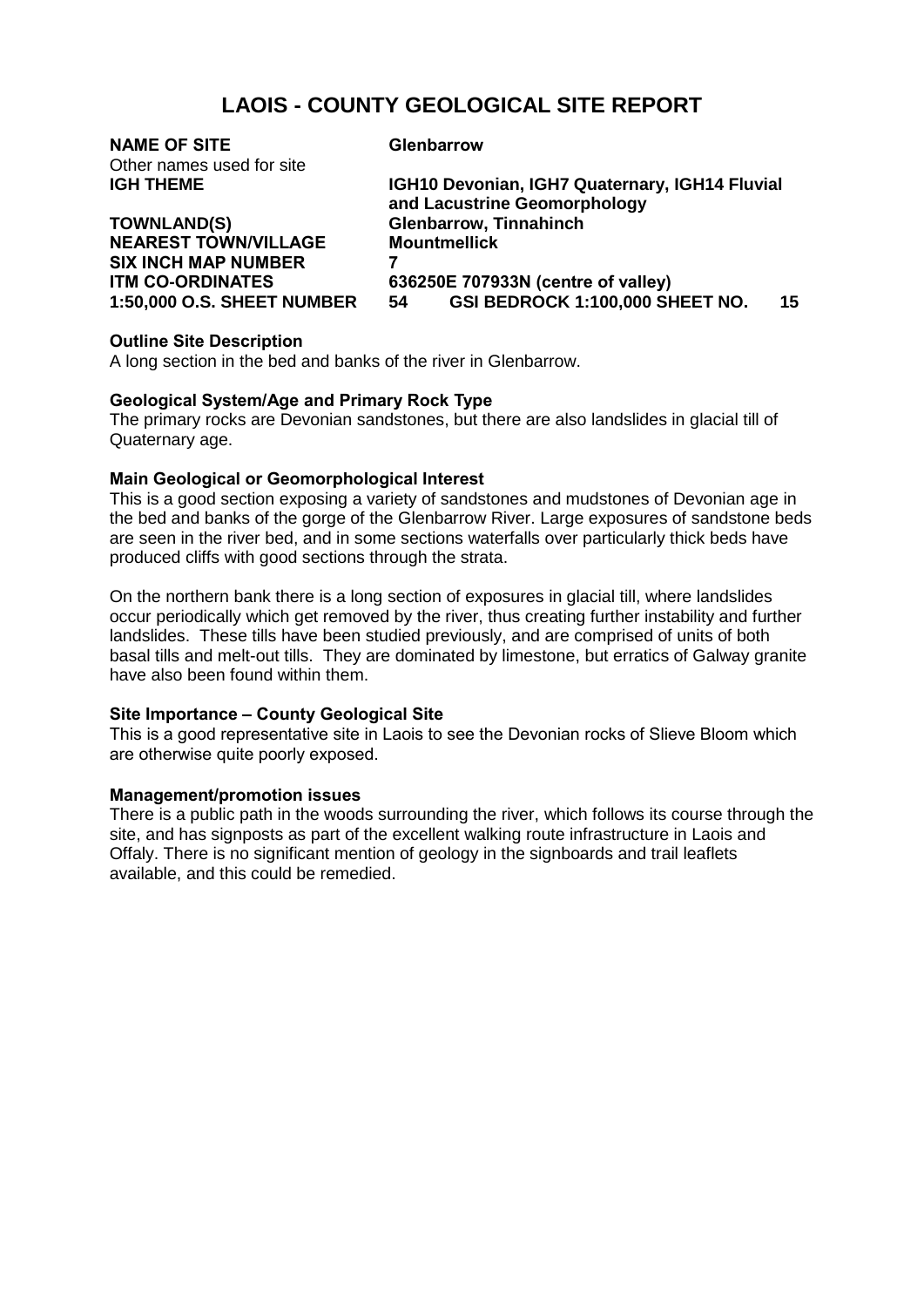# **LAOIS - COUNTY GEOLOGICAL SITE REPORT**

| <b>NAME OF SITE</b>               | <b>Glenbarrow</b>                                                              |    |
|-----------------------------------|--------------------------------------------------------------------------------|----|
| Other names used for site         |                                                                                |    |
| <b>IGH THEME</b>                  | IGH10 Devonian, IGH7 Quaternary, IGH14 Fluvial<br>and Lacustrine Geomorphology |    |
| <b>TOWNLAND(S)</b>                | <b>Glenbarrow, Tinnahinch</b>                                                  |    |
| <b>NEAREST TOWN/VILLAGE</b>       | <b>Mountmellick</b>                                                            |    |
| <b>SIX INCH MAP NUMBER</b>        |                                                                                |    |
| <b>ITM CO-ORDINATES</b>           | 636250E 707933N (centre of valley)                                             |    |
| <b>1:50,000 O.S. SHEET NUMBER</b> | GSI BEDROCK 1:100,000 SHEET NO.<br>54                                          | 15 |
| <b>Outline Site Description</b>   |                                                                                |    |

A long section in the bed and banks of the river in Glenbarrow.

# **Geological System/Age and Primary Rock Type**

The primary rocks are Devonian sandstones, but there are also landslides in glacial till of Quaternary age.

# **Main Geological or Geomorphological Interest**

This is a good section exposing a variety of sandstones and mudstones of Devonian age in the bed and banks of the gorge of the Glenbarrow River. Large exposures of sandstone beds are seen in the river bed, and in some sections waterfalls over particularly thick beds have produced cliffs with good sections through the strata.

On the northern bank there is a long section of exposures in glacial till, where landslides occur periodically which get removed by the river, thus creating further instability and further landslides. These tills have been studied previously, and are comprised of units of both basal tills and melt-out tills. They are dominated by limestone, but erratics of Galway granite have also been found within them.

### **Site Importance – County Geological Site**

This is a good representative site in Laois to see the Devonian rocks of Slieve Bloom which are otherwise quite poorly exposed.

### **Management/promotion issues**

There is a public path in the woods surrounding the river, which follows its course through the site, and has signposts as part of the excellent walking route infrastructure in Laois and Offaly. There is no significant mention of geology in the signboards and trail leaflets available, and this could be remedied.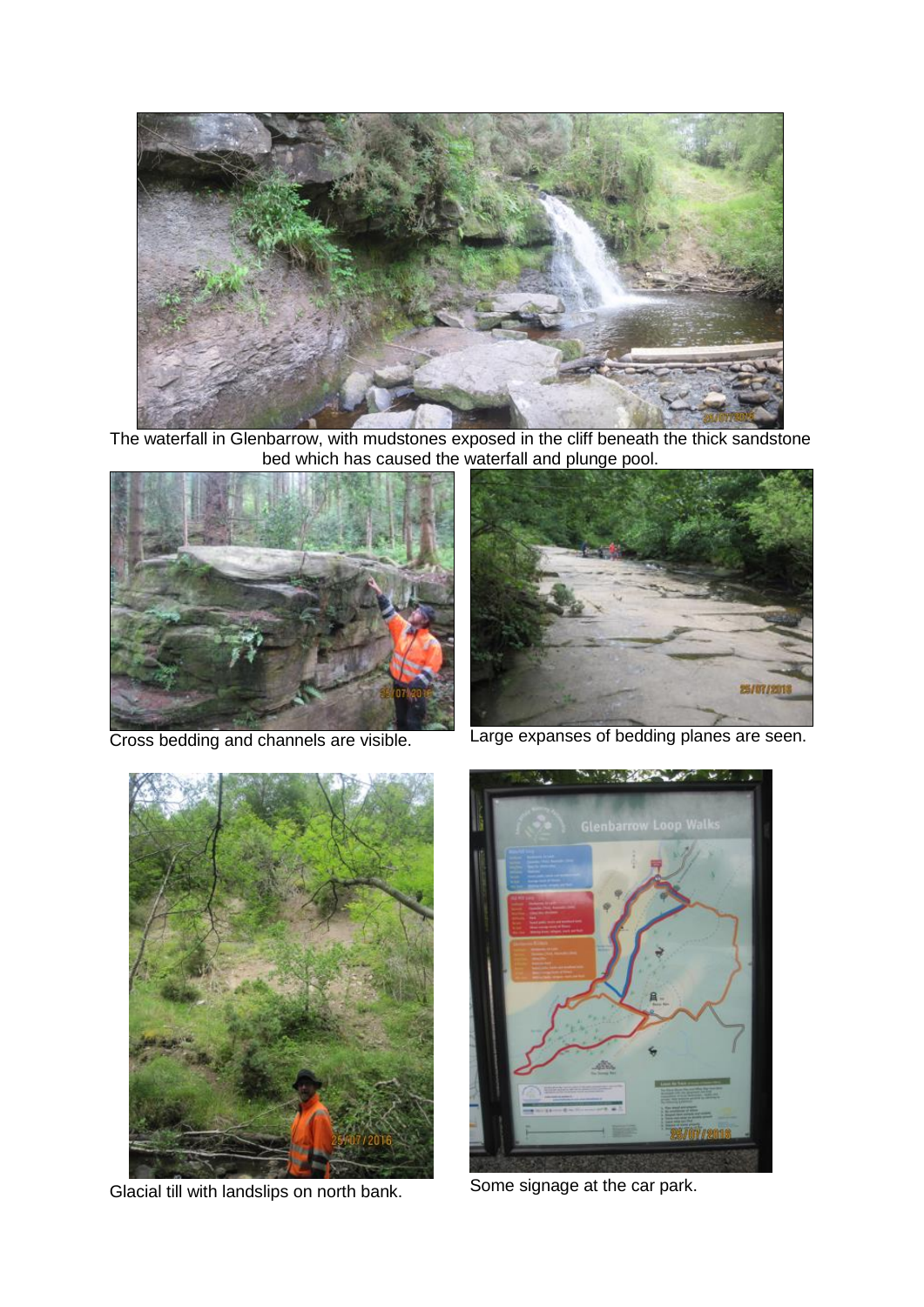

The waterfall in Glenbarrow, with mudstones exposed in the cliff beneath the thick sandstone bed which has caused the waterfall and plunge pool.





Cross bedding and channels are visible. Large expanses of bedding planes are seen.



Glacial till with landslips on north bank. Some signage at the car park.